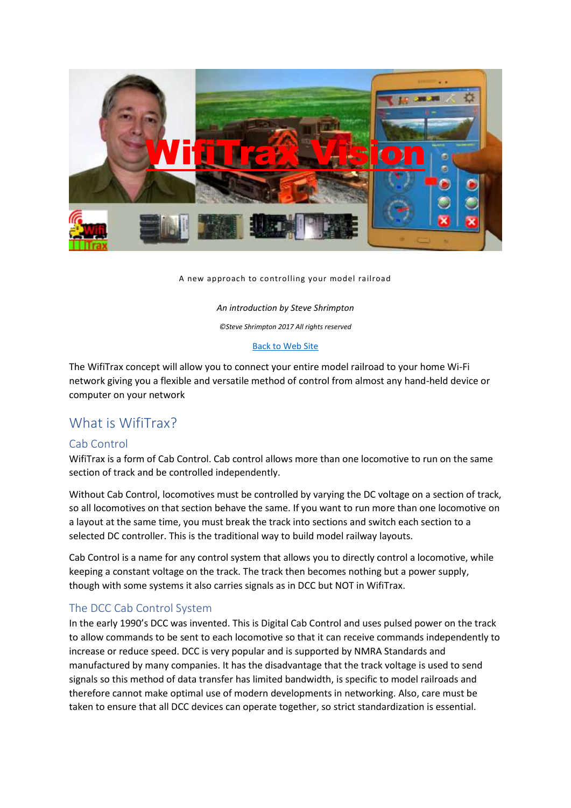

A new approach to controlling your model railroad

*An introduction by Steve Shrimpton ©Steve Shrimpton 2017 All rights reserved*

#### [Back to Web Site](http://www.wifitrax.com/)

The WifiTrax concept will allow you to connect your entire model railroad to your home Wi-Fi network giving you a flexible and versatile method of control from almost any hand-held device or computer on your network

#### What is WifiTrax?

#### Cab Control

WifiTrax is a form of Cab Control. Cab control allows more than one locomotive to run on the same section of track and be controlled independently.

Without Cab Control, locomotives must be controlled by varying the DC voltage on a section of track, so all locomotives on that section behave the same. If you want to run more than one locomotive on a layout at the same time, you must break the track into sections and switch each section to a selected DC controller. This is the traditional way to build model railway layouts.

Cab Control is a name for any control system that allows you to directly control a locomotive, while keeping a constant voltage on the track. The track then becomes nothing but a power supply, though with some systems it also carries signals as in DCC but NOT in WifiTrax.

#### The DCC Cab Control System

In the early 1990's DCC was invented. This is Digital Cab Control and uses pulsed power on the track to allow commands to be sent to each locomotive so that it can receive commands independently to increase or reduce speed. DCC is very popular and is supported by NMRA Standards and manufactured by many companies. It has the disadvantage that the track voltage is used to send signals so this method of data transfer has limited bandwidth, is specific to model railroads and therefore cannot make optimal use of modern developments in networking. Also, care must be taken to ensure that all DCC devices can operate together, so strict standardization is essential.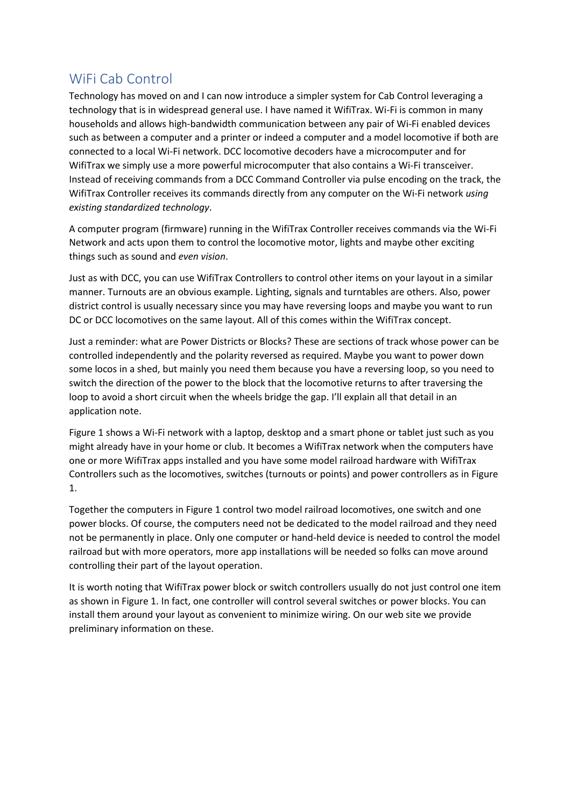## WiFi Cab Control

Technology has moved on and I can now introduce a simpler system for Cab Control leveraging a technology that is in widespread general use. I have named it WifiTrax. Wi-Fi is common in many households and allows high-bandwidth communication between any pair of Wi-Fi enabled devices such as between a computer and a printer or indeed a computer and a model locomotive if both are connected to a local Wi-Fi network. DCC locomotive decoders have a microcomputer and for WifiTrax we simply use a more powerful microcomputer that also contains a Wi-Fi transceiver. Instead of receiving commands from a DCC Command Controller via pulse encoding on the track, the WifiTrax Controller receives its commands directly from any computer on the Wi-Fi network *using existing standardized technology*.

A computer program (firmware) running in the WifiTrax Controller receives commands via the Wi-Fi Network and acts upon them to control the locomotive motor, lights and maybe other exciting things such as sound and *even vision*.

Just as with DCC, you can use WifiTrax Controllers to control other items on your layout in a similar manner. Turnouts are an obvious example. Lighting, signals and turntables are others. Also, power district control is usually necessary since you may have reversing loops and maybe you want to run DC or DCC locomotives on the same layout. All of this comes within the WifiTrax concept.

Just a reminder: what are Power Districts or Blocks? These are sections of track whose power can be controlled independently and the polarity reversed as required. Maybe you want to power down some locos in a shed, but mainly you need them because you have a reversing loop, so you need to switch the direction of the power to the block that the locomotive returns to after traversing the loop to avoid a short circuit when the wheels bridge the gap. I'll explain all that detail in an application note.

[Figure 1](#page-2-0) shows a Wi-Fi network with a laptop, desktop and a smart phone or tablet just such as you might already have in your home or club. It becomes a WifiTrax network when the computers have one or more WifiTrax apps installed and you have some model railroad hardware with WifiTrax Controllers such as the locomotives, switches (turnouts or points) and power controllers as i[n Figure](#page-2-0)  [1.](#page-2-0)

Together the computers in [Figure 1](#page-2-0) control two model railroad locomotives, one switch and one power blocks. Of course, the computers need not be dedicated to the model railroad and they need not be permanently in place. Only one computer or hand-held device is needed to control the model railroad but with more operators, more app installations will be needed so folks can move around controlling their part of the layout operation.

It is worth noting that WifiTrax power block or switch controllers usually do not just control one item as shown in [Figure 1.](#page-2-0) In fact, one controller will control several switches or power blocks. You can install them around your layout as convenient to minimize wiring. On our web site we provide preliminary information on these.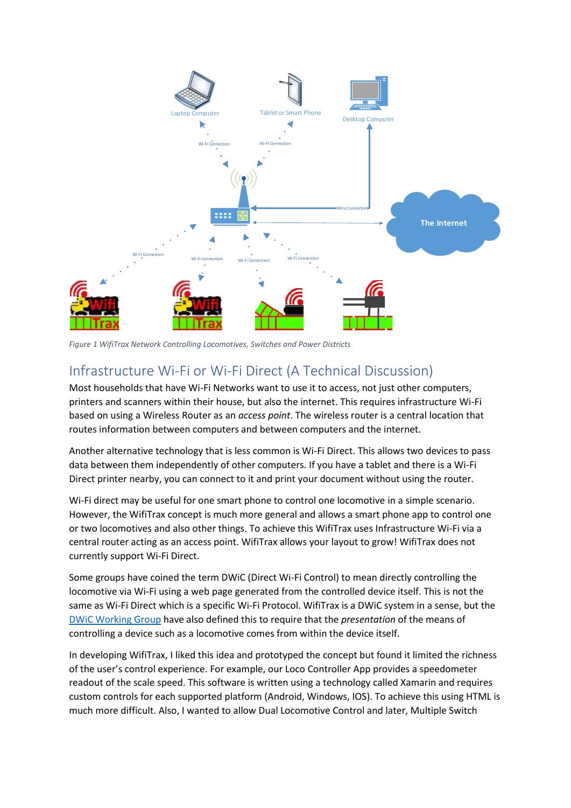

<span id="page-2-0"></span>*Figure 1 WifiTrax Network Controlling Locomotives, Switches and Power Districts*

## Infrastructure Wi-Fi or Wi-Fi Direct (A Technical Discussion)

Most households that have Wi-Fi Networks want to use it to access, not just other computers, printers and scanners within their house, but also the internet. This requires infrastructure Wi-Fi based on using a Wireless Router as an *access point*. The wireless router is a central location that routes information between computers and between computers and the internet.

Another alternative technology that is less common is Wi-Fi Direct. This allows two devices to pass data between them independently of other computers. If you have a tablet and there is a Wi-Fi Direct printer nearby, you can connect to it and print your document without using the router.

Wi-Fi direct may be useful for one smart phone to control one locomotive in a simple scenario. However, the WifiTrax concept is much more general and allows a smart phone app to control one or two locomotives and also other things. To achieve this WifiTrax uses Infrastructure Wi-Fi via a central router acting as an access point. WifiTrax allows your layout to grow! WifiTrax does not currently support Wi-Fi Direct.

Some groups have coined the term DWiC (Direct Wi-Fi Control) to mean directly controlling the locomotive via Wi-Fi using a web page generated from the controlled device itself. This is not the same as Wi-Fi Direct which is a specific Wi-Fi Protocol. WifiTrax is a DWiC system in a sense, but the [DWiC Working Group](http://members.iinet.net.au/~backway/DWiC/DWiCSpecification.pdf) have also defined this to require that the *presentation* of the means of controlling a device such as a locomotive comes from within the device itself.

In developing WifiTrax, I liked this idea and prototyped the concept but found it limited the richness of the user's control experience. For example, our Loco Controller App provides a speedometer readout of the scale speed. This software is written using a technology called Xamarin and requires custom controls for each supported platform (Android, Windows, IOS). To achieve this using HTML is much more difficult. Also, I wanted to allow Dual Locomotive Control and later, Multiple Switch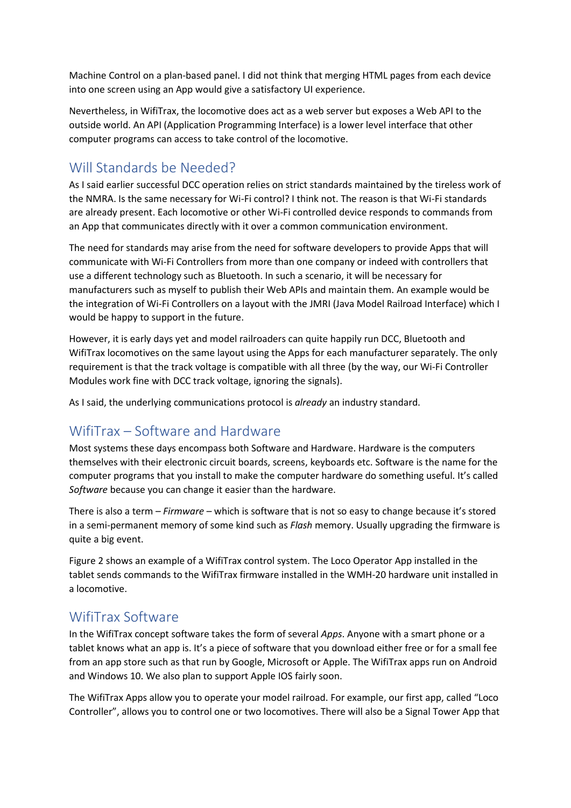Machine Control on a plan-based panel. I did not think that merging HTML pages from each device into one screen using an App would give a satisfactory UI experience.

Nevertheless, in WifiTrax, the locomotive does act as a web server but exposes a Web API to the outside world. An API (Application Programming Interface) is a lower level interface that other computer programs can access to take control of the locomotive.

## Will Standards be Needed?

As I said earlier successful DCC operation relies on strict standards maintained by the tireless work of the NMRA. Is the same necessary for Wi-Fi control? I think not. The reason is that Wi-Fi standards are already present. Each locomotive or other Wi-Fi controlled device responds to commands from an App that communicates directly with it over a common communication environment.

The need for standards may arise from the need for software developers to provide Apps that will communicate with Wi-Fi Controllers from more than one company or indeed with controllers that use a different technology such as Bluetooth. In such a scenario, it will be necessary for manufacturers such as myself to publish their Web APIs and maintain them. An example would be the integration of Wi-Fi Controllers on a layout with the JMRI (Java Model Railroad Interface) which I would be happy to support in the future.

However, it is early days yet and model railroaders can quite happily run DCC, Bluetooth and WifiTrax locomotives on the same layout using the Apps for each manufacturer separately. The only requirement is that the track voltage is compatible with all three (by the way, our Wi-Fi Controller Modules work fine with DCC track voltage, ignoring the signals).

As I said, the underlying communications protocol is *already* an industry standard.

## WifiTrax – Software and Hardware

Most systems these days encompass both Software and Hardware. Hardware is the computers themselves with their electronic circuit boards, screens, keyboards etc. Software is the name for the computer programs that you install to make the computer hardware do something useful. It's called *Software* because you can change it easier than the hardware.

There is also a term – *Firmware –* which is software that is not so easy to change because it's stored in a semi-permanent memory of some kind such as *Flash* memory. Usually upgrading the firmware is quite a big event.

[Figure 2](#page-4-0) shows an example of a WifiTrax control system. The Loco Operator App installed in the tablet sends commands to the WifiTrax firmware installed in the WMH-20 hardware unit installed in a locomotive.

### WifiTrax Software

In the WifiTrax concept software takes the form of several *Apps*. Anyone with a smart phone or a tablet knows what an app is. It's a piece of software that you download either free or for a small fee from an app store such as that run by Google, Microsoft or Apple. The WifiTrax apps run on Android and Windows 10. We also plan to support Apple IOS fairly soon.

The WifiTrax Apps allow you to operate your model railroad. For example, our first app, called "Loco Controller", allows you to control one or two locomotives. There will also be a Signal Tower App that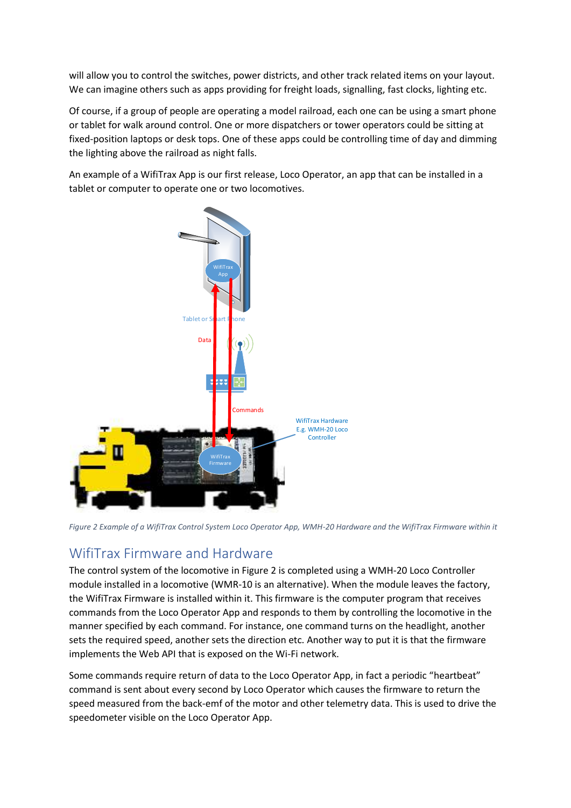will allow you to control the switches, power districts, and other track related items on your layout. We can imagine others such as apps providing for freight loads, signalling, fast clocks, lighting etc.

Of course, if a group of people are operating a model railroad, each one can be using a smart phone or tablet for walk around control. One or more dispatchers or tower operators could be sitting at fixed-position laptops or desk tops. One of these apps could be controlling time of day and dimming the lighting above the railroad as night falls.

An example of a WifiTrax App is our first release, Loco Operator, an app that can be installed in a tablet or computer to operate one or two locomotives.



<span id="page-4-0"></span>*Figure 2 Example of a WifiTrax Control System Loco Operator App, WMH-20 Hardware and the WifiTrax Firmware within it*

### WifiTrax Firmware and Hardware

The control system of the locomotive in [Figure 2](#page-4-0) is completed using a WMH-20 Loco Controller module installed in a locomotive (WMR-10 is an alternative). When the module leaves the factory, the WifiTrax Firmware is installed within it. This firmware is the computer program that receives commands from the Loco Operator App and responds to them by controlling the locomotive in the manner specified by each command. For instance, one command turns on the headlight, another sets the required speed, another sets the direction etc. Another way to put it is that the firmware implements the Web API that is exposed on the Wi-Fi network.

Some commands require return of data to the Loco Operator App, in fact a periodic "heartbeat" command is sent about every second by Loco Operator which causes the firmware to return the speed measured from the back-emf of the motor and other telemetry data. This is used to drive the speedometer visible on the Loco Operator App.